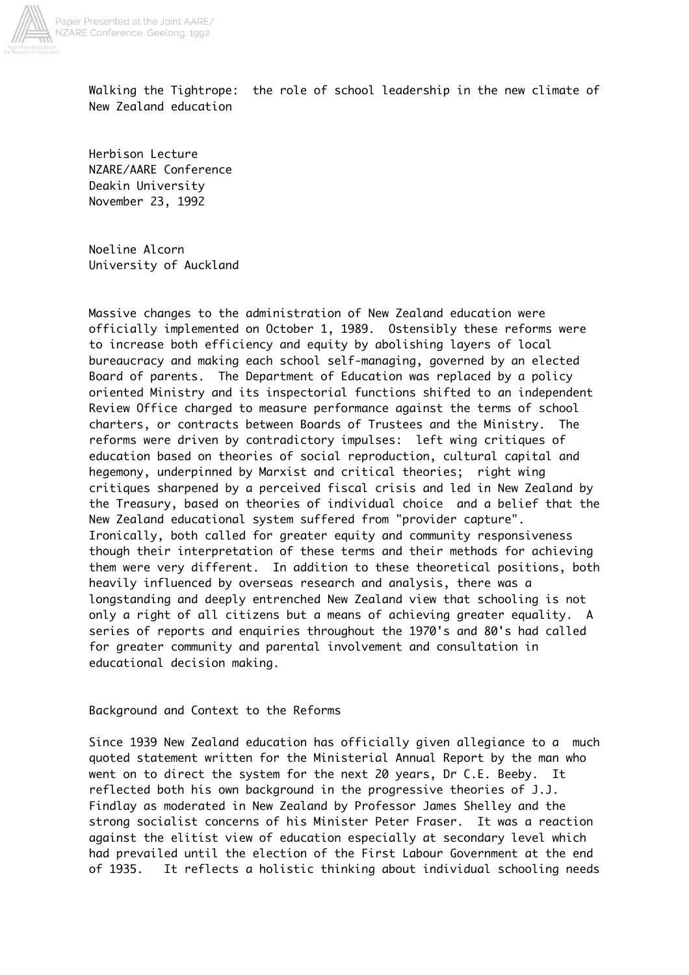

Walking the Tightrope: the role of school leadership in the new climate of New Zealand education

Herbison Lecture NZARE/AARE Conference Deakin University November 23, 1992

Noeline Alcorn University of Auckland

Massive changes to the administration of New Zealand education were officially implemented on October 1, 1989. Ostensibly these reforms were to increase both efficiency and equity by abolishing layers of local bureaucracy and making each school self-managing, governed by an elected Board of parents. The Department of Education was replaced by a policy oriented Ministry and its inspectorial functions shifted to an independent Review Office charged to measure performance against the terms of school charters, or contracts between Boards of Trustees and the Ministry. The reforms were driven by contradictory impulses: left wing critiques of education based on theories of social reproduction, cultural capital and hegemony, underpinned by Marxist and critical theories; right wing critiques sharpened by a perceived fiscal crisis and led in New Zealand by the Treasury, based on theories of individual choice and a belief that the New Zealand educational system suffered from "provider capture". Ironically, both called for greater equity and community responsiveness though their interpretation of these terms and their methods for achieving them were very different. In addition to these theoretical positions, both heavily influenced by overseas research and analysis, there was a longstanding and deeply entrenched New Zealand view that schooling is not only a right of all citizens but a means of achieving greater equality. A series of reports and enquiries throughout the 1970's and 80's had called for greater community and parental involvement and consultation in educational decision making.

Background and Context to the Reforms

Since 1939 New Zealand education has officially given allegiance to a much quoted statement written for the Ministerial Annual Report by the man who went on to direct the system for the next 20 years, Dr C.E. Beeby. It reflected both his own background in the progressive theories of J.J. Findlay as moderated in New Zealand by Professor James Shelley and the strong socialist concerns of his Minister Peter Fraser. It was a reaction against the elitist view of education especially at secondary level which had prevailed until the election of the First Labour Government at the end of 1935. It reflects a holistic thinking about individual schooling needs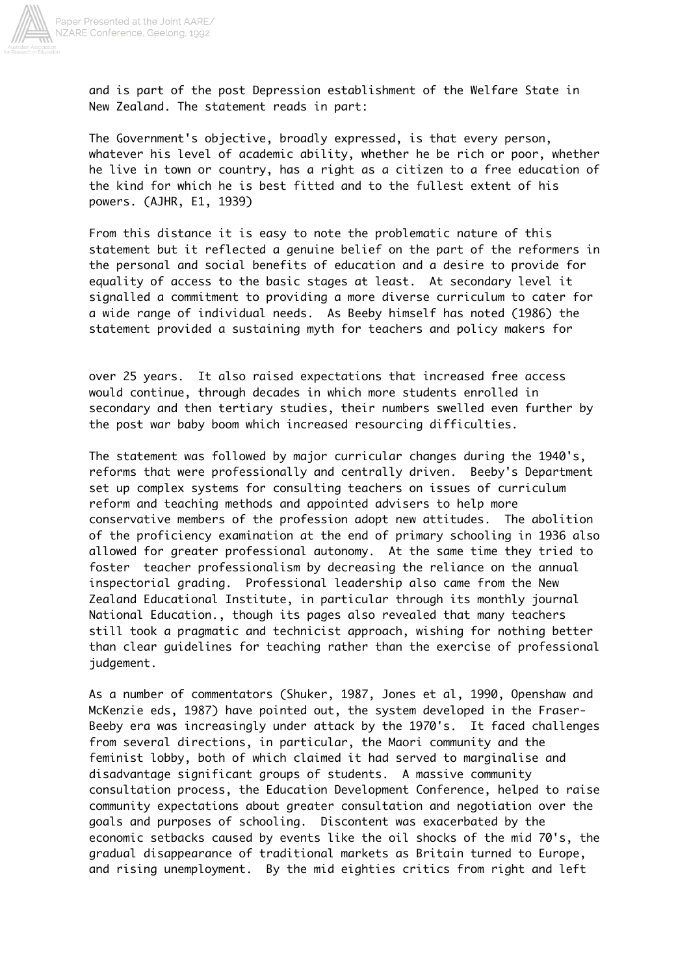

and is part of the post Depression establishment of the Welfare State in New Zealand. The statement reads in part:

The Government's objective, broadly expressed, is that every person, whatever his level of academic ability, whether he be rich or poor, whether he live in town or country, has a right as a citizen to a free education of the kind for which he is best fitted and to the fullest extent of his powers. (AJHR, E1, 1939)

From this distance it is easy to note the problematic nature of this statement but it reflected a genuine belief on the part of the reformers in the personal and social benefits of education and a desire to provide for equality of access to the basic stages at least. At secondary level it signalled a commitment to providing a more diverse curriculum to cater for a wide range of individual needs. As Beeby himself has noted (1986) the statement provided a sustaining myth for teachers and policy makers for

over 25 years. It also raised expectations that increased free access would continue, through decades in which more students enrolled in secondary and then tertiary studies, their numbers swelled even further by the post war baby boom which increased resourcing difficulties.

The statement was followed by major curricular changes during the 1940's, reforms that were professionally and centrally driven. Beeby's Department set up complex systems for consulting teachers on issues of curriculum reform and teaching methods and appointed advisers to help more conservative members of the profession adopt new attitudes. The abolition of the proficiency examination at the end of primary schooling in 1936 also allowed for greater professional autonomy. At the same time they tried to foster teacher professionalism by decreasing the reliance on the annual inspectorial grading. Professional leadership also came from the New Zealand Educational Institute, in particular through its monthly journal National Education., though its pages also revealed that many teachers still took a pragmatic and technicist approach, wishing for nothing better than clear guidelines for teaching rather than the exercise of professional judgement.

As a number of commentators (Shuker, 1987, Jones et al, 1990, Openshaw and McKenzie eds, 1987) have pointed out, the system developed in the Fraser-Beeby era was increasingly under attack by the 1970's. It faced challenges from several directions, in particular, the Maori community and the feminist lobby, both of which claimed it had served to marginalise and disadvantage significant groups of students. A massive community consultation process, the Education Development Conference, helped to raise community expectations about greater consultation and negotiation over the goals and purposes of schooling. Discontent was exacerbated by the economic setbacks caused by events like the oil shocks of the mid 70's, the gradual disappearance of traditional markets as Britain turned to Europe, and rising unemployment. By the mid eighties critics from right and left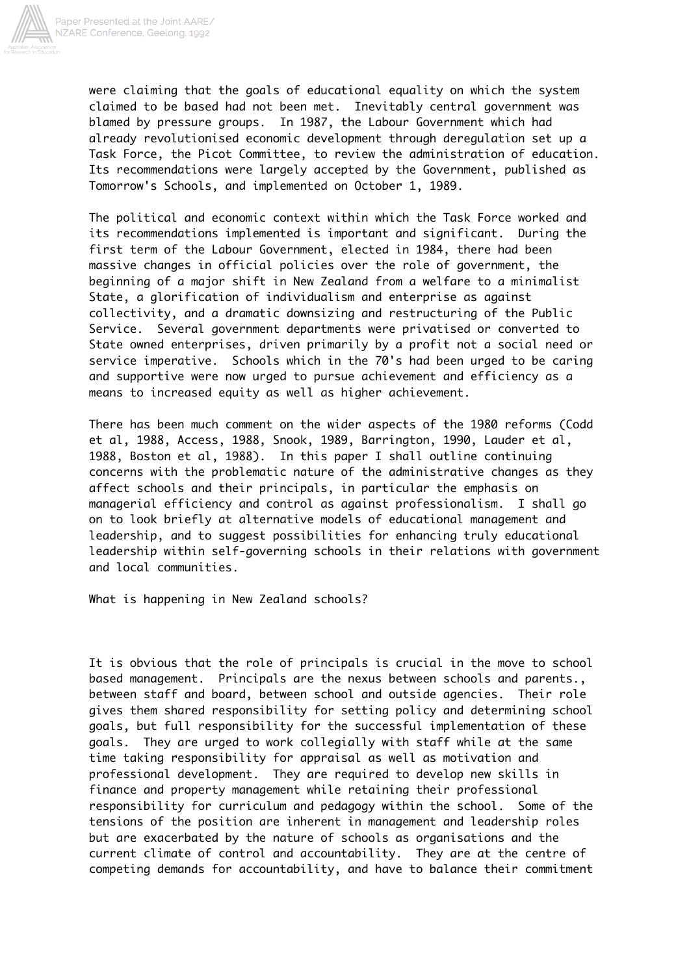

were claiming that the goals of educational equality on which the system claimed to be based had not been met. Inevitably central government was blamed by pressure groups. In 1987, the Labour Government which had already revolutionised economic development through deregulation set up a Task Force, the Picot Committee, to review the administration of education. Its recommendations were largely accepted by the Government, published as Tomorrow's Schools, and implemented on October 1, 1989.

The political and economic context within which the Task Force worked and its recommendations implemented is important and significant. During the first term of the Labour Government, elected in 1984, there had been massive changes in official policies over the role of government, the beginning of a major shift in New Zealand from a welfare to a minimalist State, a glorification of individualism and enterprise as against collectivity, and a dramatic downsizing and restructuring of the Public Service. Several government departments were privatised or converted to State owned enterprises, driven primarily by a profit not a social need or service imperative. Schools which in the 70's had been urged to be caring and supportive were now urged to pursue achievement and efficiency as a means to increased equity as well as higher achievement.

There has been much comment on the wider aspects of the 1980 reforms (Codd et al, 1988, Access, 1988, Snook, 1989, Barrington, 1990, Lauder et al, 1988, Boston et al, 1988). In this paper I shall outline continuing concerns with the problematic nature of the administrative changes as they affect schools and their principals, in particular the emphasis on managerial efficiency and control as against professionalism. I shall go on to look briefly at alternative models of educational management and leadership, and to suggest possibilities for enhancing truly educational leadership within self-governing schools in their relations with government and local communities.

What is happening in New Zealand schools?

It is obvious that the role of principals is crucial in the move to school based management. Principals are the nexus between schools and parents., between staff and board, between school and outside agencies. Their role gives them shared responsibility for setting policy and determining school goals, but full responsibility for the successful implementation of these goals. They are urged to work collegially with staff while at the same time taking responsibility for appraisal as well as motivation and professional development. They are required to develop new skills in finance and property management while retaining their professional responsibility for curriculum and pedagogy within the school. Some of the tensions of the position are inherent in management and leadership roles but are exacerbated by the nature of schools as organisations and the current climate of control and accountability. They are at the centre of competing demands for accountability, and have to balance their commitment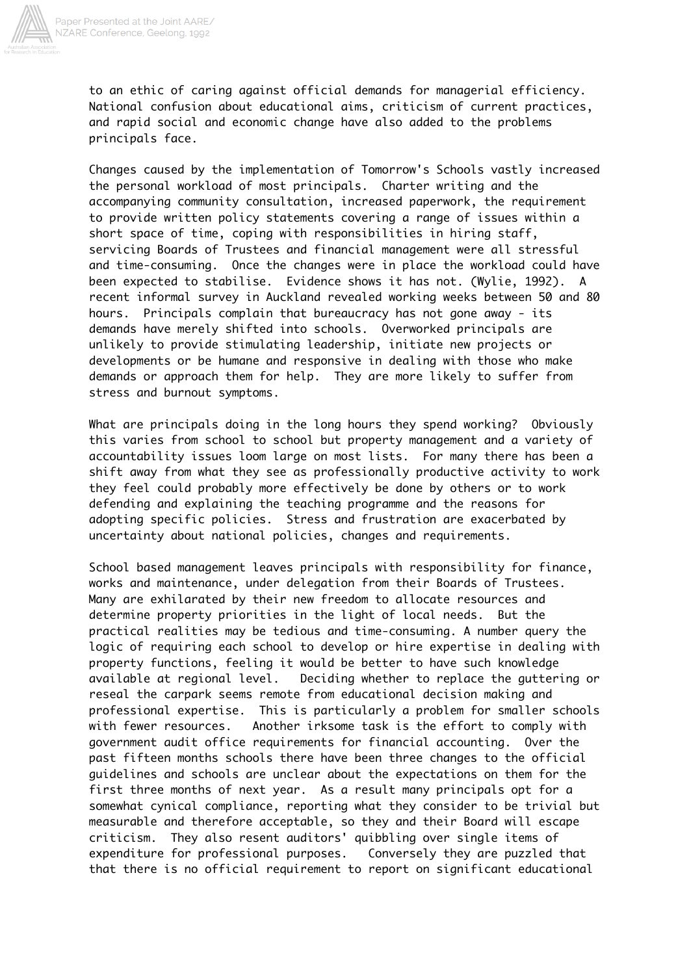

to an ethic of caring against official demands for managerial efficiency. National confusion about educational aims, criticism of current practices, and rapid social and economic change have also added to the problems principals face.

Changes caused by the implementation of Tomorrow's Schools vastly increased the personal workload of most principals. Charter writing and the accompanying community consultation, increased paperwork, the requirement to provide written policy statements covering a range of issues within a short space of time, coping with responsibilities in hiring staff, servicing Boards of Trustees and financial management were all stressful and time-consuming. Once the changes were in place the workload could have been expected to stabilise. Evidence shows it has not. (Wylie, 1992). A recent informal survey in Auckland revealed working weeks between 50 and 80 hours. Principals complain that bureaucracy has not gone away - its demands have merely shifted into schools. Overworked principals are unlikely to provide stimulating leadership, initiate new projects or developments or be humane and responsive in dealing with those who make demands or approach them for help. They are more likely to suffer from stress and burnout symptoms.

What are principals doing in the long hours they spend working? Obviously this varies from school to school but property management and a variety of accountability issues loom large on most lists. For many there has been a shift away from what they see as professionally productive activity to work they feel could probably more effectively be done by others or to work defending and explaining the teaching programme and the reasons for adopting specific policies. Stress and frustration are exacerbated by uncertainty about national policies, changes and requirements.

School based management leaves principals with responsibility for finance, works and maintenance, under delegation from their Boards of Trustees. Many are exhilarated by their new freedom to allocate resources and determine property priorities in the light of local needs. But the practical realities may be tedious and time-consuming. A number query the logic of requiring each school to develop or hire expertise in dealing with property functions, feeling it would be better to have such knowledge available at regional level. Deciding whether to replace the guttering or reseal the carpark seems remote from educational decision making and professional expertise. This is particularly a problem for smaller schools with fewer resources. Another irksome task is the effort to comply with government audit office requirements for financial accounting. Over the past fifteen months schools there have been three changes to the official guidelines and schools are unclear about the expectations on them for the first three months of next year. As a result many principals opt for a somewhat cynical compliance, reporting what they consider to be trivial but measurable and therefore acceptable, so they and their Board will escape criticism. They also resent auditors' quibbling over single items of expenditure for professional purposes. Conversely they are puzzled that that there is no official requirement to report on significant educational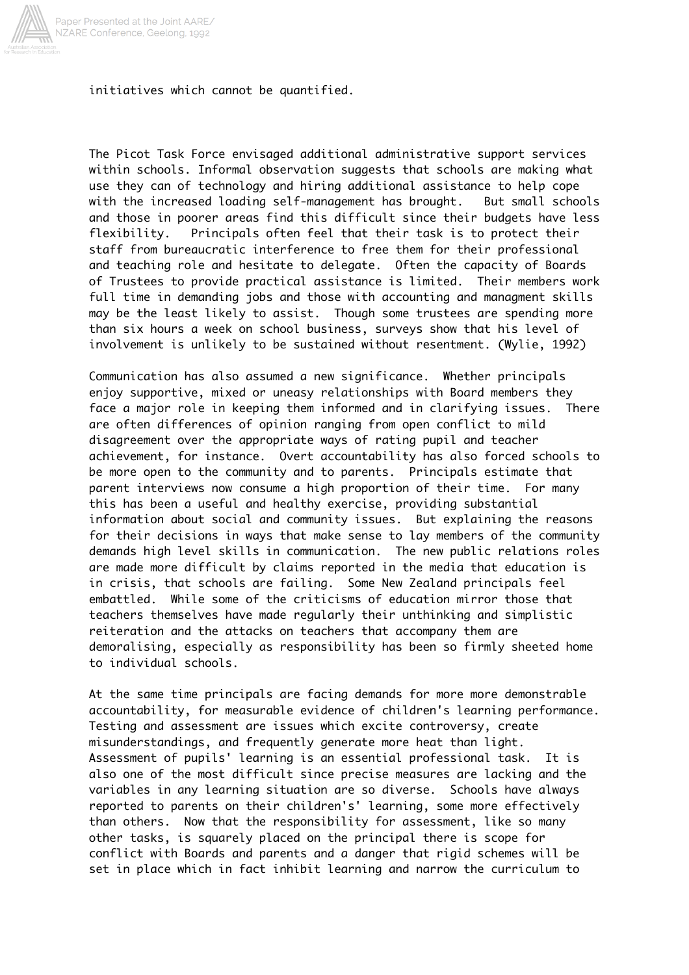

initiatives which cannot be quantified.

The Picot Task Force envisaged additional administrative support services within schools. Informal observation suggests that schools are making what use they can of technology and hiring additional assistance to help cope with the increased loading self-management has brought. But small schools and those in poorer areas find this difficult since their budgets have less flexibility. Principals often feel that their task is to protect their staff from bureaucratic interference to free them for their professional and teaching role and hesitate to delegate. Often the capacity of Boards of Trustees to provide practical assistance is limited. Their members work full time in demanding jobs and those with accounting and managment skills may be the least likely to assist. Though some trustees are spending more than six hours a week on school business, surveys show that his level of involvement is unlikely to be sustained without resentment. (Wylie, 1992)

Communication has also assumed a new significance. Whether principals enjoy supportive, mixed or uneasy relationships with Board members they face a major role in keeping them informed and in clarifying issues. There are often differences of opinion ranging from open conflict to mild disagreement over the appropriate ways of rating pupil and teacher achievement, for instance. Overt accountability has also forced schools to be more open to the community and to parents. Principals estimate that parent interviews now consume a high proportion of their time. For many this has been a useful and healthy exercise, providing substantial information about social and community issues. But explaining the reasons for their decisions in ways that make sense to lay members of the community demands high level skills in communication. The new public relations roles are made more difficult by claims reported in the media that education is in crisis, that schools are failing. Some New Zealand principals feel embattled. While some of the criticisms of education mirror those that teachers themselves have made regularly their unthinking and simplistic reiteration and the attacks on teachers that accompany them are demoralising, especially as responsibility has been so firmly sheeted home to individual schools.

At the same time principals are facing demands for more more demonstrable accountability, for measurable evidence of children's learning performance. Testing and assessment are issues which excite controversy, create misunderstandings, and frequently generate more heat than light. Assessment of pupils' learning is an essential professional task. It is also one of the most difficult since precise measures are lacking and the variables in any learning situation are so diverse. Schools have always reported to parents on their children's' learning, some more effectively than others. Now that the responsibility for assessment, like so many other tasks, is squarely placed on the principal there is scope for conflict with Boards and parents and a danger that rigid schemes will be set in place which in fact inhibit learning and narrow the curriculum to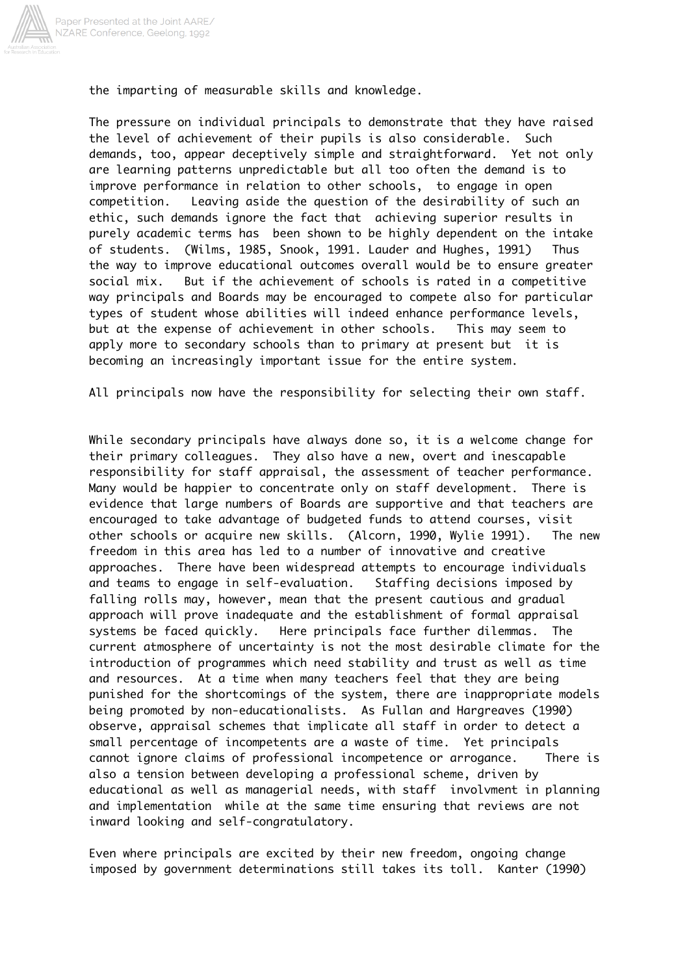

the imparting of measurable skills and knowledge.

The pressure on individual principals to demonstrate that they have raised the level of achievement of their pupils is also considerable. Such demands, too, appear deceptively simple and straightforward. Yet not only are learning patterns unpredictable but all too often the demand is to improve performance in relation to other schools, to engage in open competition. Leaving aside the question of the desirability of such an ethic, such demands ignore the fact that achieving superior results in purely academic terms has been shown to be highly dependent on the intake of students. (Wilms, 1985, Snook, 1991. Lauder and Hughes, 1991) Thus the way to improve educational outcomes overall would be to ensure greater social mix. But if the achievement of schools is rated in a competitive way principals and Boards may be encouraged to compete also for particular types of student whose abilities will indeed enhance performance levels, but at the expense of achievement in other schools. This may seem to apply more to secondary schools than to primary at present but it is becoming an increasingly important issue for the entire system.

All principals now have the responsibility for selecting their own staff.

While secondary principals have always done so, it is a welcome change for their primary colleagues. They also have a new, overt and inescapable responsibility for staff appraisal, the assessment of teacher performance. Many would be happier to concentrate only on staff development. There is evidence that large numbers of Boards are supportive and that teachers are encouraged to take advantage of budgeted funds to attend courses, visit other schools or acquire new skills. (Alcorn, 1990, Wylie 1991). The new freedom in this area has led to a number of innovative and creative approaches. There have been widespread attempts to encourage individuals and teams to engage in self-evaluation. Staffing decisions imposed by falling rolls may, however, mean that the present cautious and gradual approach will prove inadequate and the establishment of formal appraisal systems be faced quickly. Here principals face further dilemmas. The current atmosphere of uncertainty is not the most desirable climate for the introduction of programmes which need stability and trust as well as time and resources. At a time when many teachers feel that they are being punished for the shortcomings of the system, there are inappropriate models being promoted by non-educationalists. As Fullan and Hargreaves (1990) observe, appraisal schemes that implicate all staff in order to detect a small percentage of incompetents are a waste of time. Yet principals cannot ignore claims of professional incompetence or arrogance. There is also a tension between developing a professional scheme, driven by educational as well as managerial needs, with staff involvment in planning and implementation while at the same time ensuring that reviews are not inward looking and self-congratulatory.

Even where principals are excited by their new freedom, ongoing change imposed by government determinations still takes its toll. Kanter (1990)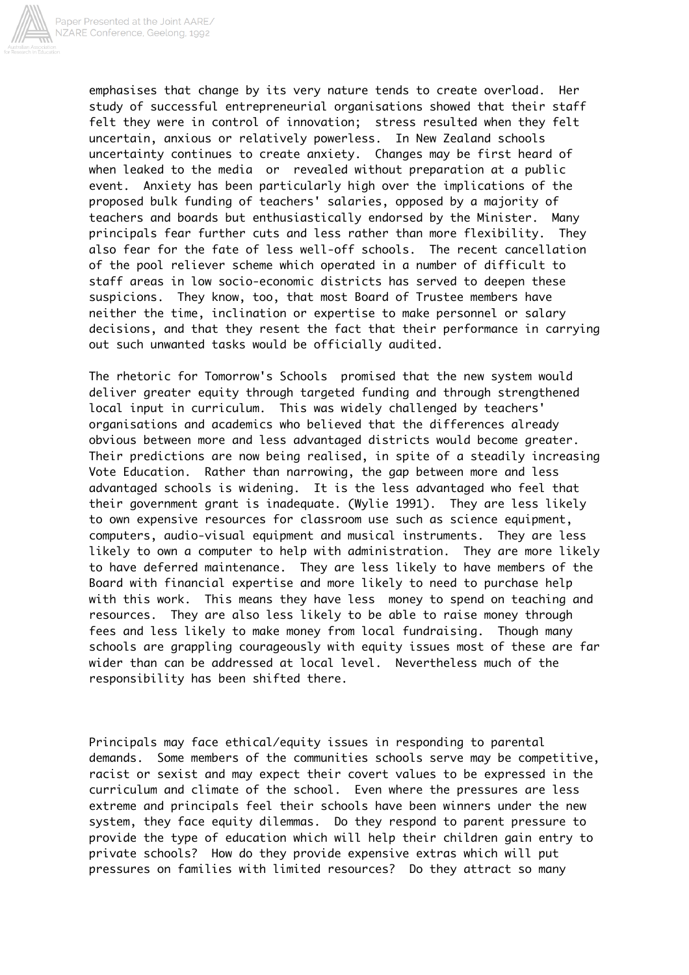

emphasises that change by its very nature tends to create overload. Her study of successful entrepreneurial organisations showed that their staff felt they were in control of innovation; stress resulted when they felt uncertain, anxious or relatively powerless. In New Zealand schools uncertainty continues to create anxiety. Changes may be first heard of when leaked to the media or revealed without preparation at a public event. Anxiety has been particularly high over the implications of the proposed bulk funding of teachers' salaries, opposed by a majority of teachers and boards but enthusiastically endorsed by the Minister. Many principals fear further cuts and less rather than more flexibility. They also fear for the fate of less well-off schools. The recent cancellation of the pool reliever scheme which operated in a number of difficult to staff areas in low socio-economic districts has served to deepen these suspicions. They know, too, that most Board of Trustee members have neither the time, inclination or expertise to make personnel or salary decisions, and that they resent the fact that their performance in carrying out such unwanted tasks would be officially audited.

The rhetoric for Tomorrow's Schools promised that the new system would deliver greater equity through targeted funding and through strengthened local input in curriculum. This was widely challenged by teachers' organisations and academics who believed that the differences already obvious between more and less advantaged districts would become greater. Their predictions are now being realised, in spite of a steadily increasing Vote Education. Rather than narrowing, the gap between more and less advantaged schools is widening. It is the less advantaged who feel that their government grant is inadequate. (Wylie 1991). They are less likely to own expensive resources for classroom use such as science equipment, computers, audio-visual equipment and musical instruments. They are less likely to own a computer to help with administration. They are more likely to have deferred maintenance. They are less likely to have members of the Board with financial expertise and more likely to need to purchase help with this work. This means they have less money to spend on teaching and resources. They are also less likely to be able to raise money through fees and less likely to make money from local fundraising. Though many schools are grappling courageously with equity issues most of these are far wider than can be addressed at local level. Nevertheless much of the responsibility has been shifted there.

Principals may face ethical/equity issues in responding to parental demands. Some members of the communities schools serve may be competitive, racist or sexist and may expect their covert values to be expressed in the curriculum and climate of the school. Even where the pressures are less extreme and principals feel their schools have been winners under the new system, they face equity dilemmas. Do they respond to parent pressure to provide the type of education which will help their children gain entry to private schools? How do they provide expensive extras which will put pressures on families with limited resources? Do they attract so many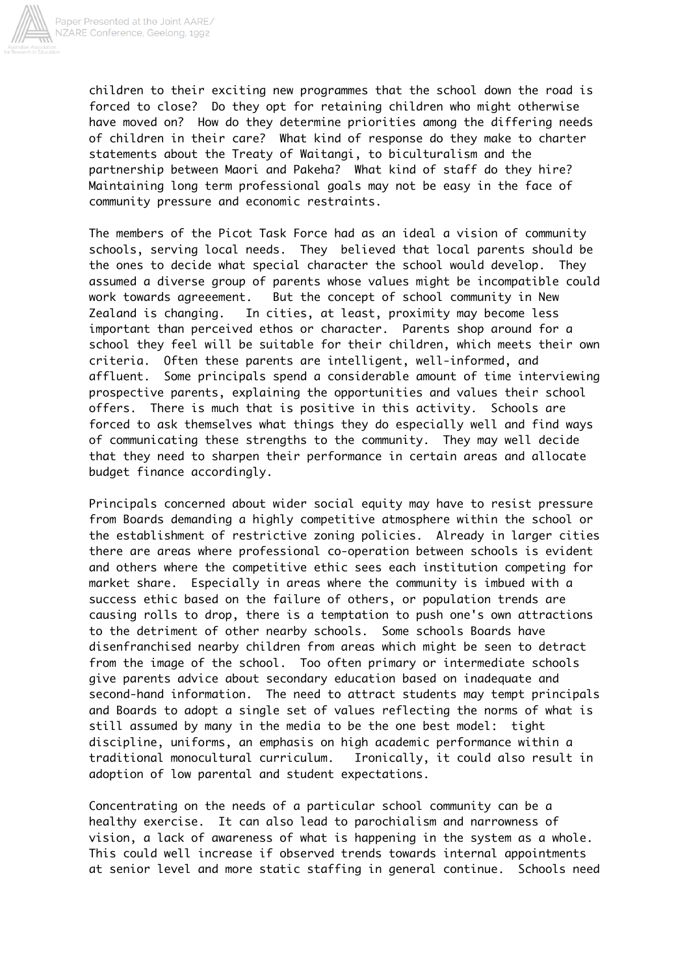

children to their exciting new programmes that the school down the road is forced to close? Do they opt for retaining children who might otherwise have moved on? How do they determine priorities among the differing needs of children in their care? What kind of response do they make to charter statements about the Treaty of Waitangi, to biculturalism and the partnership between Maori and Pakeha? What kind of staff do they hire? Maintaining long term professional goals may not be easy in the face of community pressure and economic restraints.

The members of the Picot Task Force had as an ideal a vision of community schools, serving local needs. They believed that local parents should be the ones to decide what special character the school would develop. They assumed a diverse group of parents whose values might be incompatible could work towards agreeement. But the concept of school community in New Zealand is changing. In cities, at least, proximity may become less important than perceived ethos or character. Parents shop around for a school they feel will be suitable for their children, which meets their own criteria. Often these parents are intelligent, well-informed, and affluent. Some principals spend a considerable amount of time interviewing prospective parents, explaining the opportunities and values their school offers. There is much that is positive in this activity. Schools are forced to ask themselves what things they do especially well and find ways of communicating these strengths to the community. They may well decide that they need to sharpen their performance in certain areas and allocate budget finance accordingly.

Principals concerned about wider social equity may have to resist pressure from Boards demanding a highly competitive atmosphere within the school or the establishment of restrictive zoning policies. Already in larger cities there are areas where professional co-operation between schools is evident and others where the competitive ethic sees each institution competing for market share. Especially in areas where the community is imbued with a success ethic based on the failure of others, or population trends are causing rolls to drop, there is a temptation to push one's own attractions to the detriment of other nearby schools. Some schools Boards have disenfranchised nearby children from areas which might be seen to detract from the image of the school. Too often primary or intermediate schools give parents advice about secondary education based on inadequate and second-hand information. The need to attract students may tempt principals and Boards to adopt a single set of values reflecting the norms of what is still assumed by many in the media to be the one best model: tight discipline, uniforms, an emphasis on high academic performance within a traditional monocultural curriculum. Ironically, it could also result in adoption of low parental and student expectations.

Concentrating on the needs of a particular school community can be a healthy exercise. It can also lead to parochialism and narrowness of vision, a lack of awareness of what is happening in the system as a whole. This could well increase if observed trends towards internal appointments at senior level and more static staffing in general continue. Schools need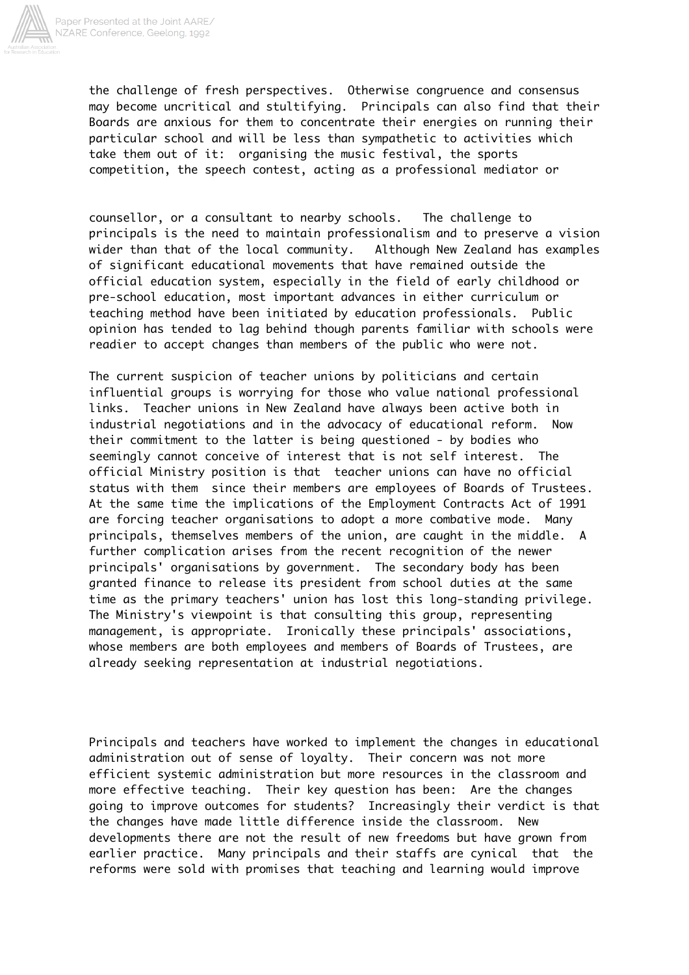

the challenge of fresh perspectives. Otherwise congruence and consensus may become uncritical and stultifying. Principals can also find that their Boards are anxious for them to concentrate their energies on running their particular school and will be less than sympathetic to activities which take them out of it: organising the music festival, the sports competition, the speech contest, acting as a professional mediator or

counsellor, or a consultant to nearby schools. The challenge to principals is the need to maintain professionalism and to preserve a vision wider than that of the local community. Although New Zealand has examples of significant educational movements that have remained outside the official education system, especially in the field of early childhood or pre-school education, most important advances in either curriculum or teaching method have been initiated by education professionals. Public opinion has tended to lag behind though parents familiar with schools were readier to accept changes than members of the public who were not.

The current suspicion of teacher unions by politicians and certain influential groups is worrying for those who value national professional links. Teacher unions in New Zealand have always been active both in industrial negotiations and in the advocacy of educational reform. Now their commitment to the latter is being questioned - by bodies who seemingly cannot conceive of interest that is not self interest. The official Ministry position is that teacher unions can have no official status with them since their members are employees of Boards of Trustees. At the same time the implications of the Employment Contracts Act of 1991 are forcing teacher organisations to adopt a more combative mode. Many principals, themselves members of the union, are caught in the middle. A further complication arises from the recent recognition of the newer principals' organisations by government. The secondary body has been granted finance to release its president from school duties at the same time as the primary teachers' union has lost this long-standing privilege. The Ministry's viewpoint is that consulting this group, representing management, is appropriate. Ironically these principals' associations, whose members are both employees and members of Boards of Trustees, are already seeking representation at industrial negotiations.

Principals and teachers have worked to implement the changes in educational administration out of sense of loyalty. Their concern was not more efficient systemic administration but more resources in the classroom and more effective teaching. Their key question has been: Are the changes going to improve outcomes for students? Increasingly their verdict is that the changes have made little difference inside the classroom. New developments there are not the result of new freedoms but have grown from earlier practice. Many principals and their staffs are cynical that the reforms were sold with promises that teaching and learning would improve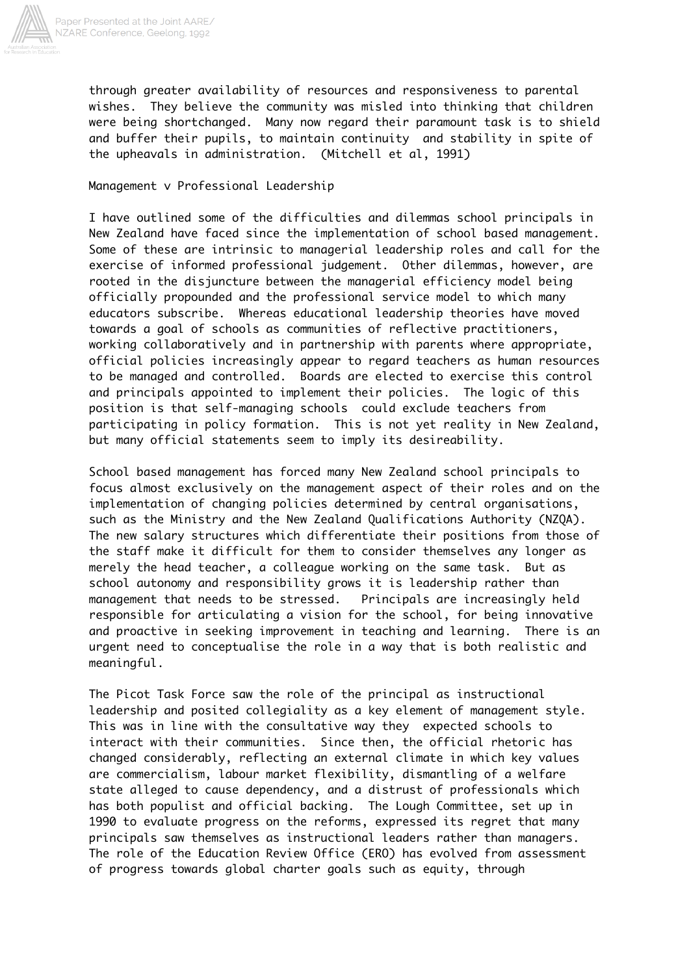

through greater availability of resources and responsiveness to parental wishes. They believe the community was misled into thinking that children were being shortchanged. Many now regard their paramount task is to shield and buffer their pupils, to maintain continuity and stability in spite of the upheavals in administration. (Mitchell et al, 1991)

## Management v Professional Leadership

I have outlined some of the difficulties and dilemmas school principals in New Zealand have faced since the implementation of school based management. Some of these are intrinsic to managerial leadership roles and call for the exercise of informed professional judgement. Other dilemmas, however, are rooted in the disjuncture between the managerial efficiency model being officially propounded and the professional service model to which many educators subscribe. Whereas educational leadership theories have moved towards a goal of schools as communities of reflective practitioners, working collaboratively and in partnership with parents where appropriate, official policies increasingly appear to regard teachers as human resources to be managed and controlled. Boards are elected to exercise this control and principals appointed to implement their policies. The logic of this position is that self-managing schools could exclude teachers from participating in policy formation. This is not yet reality in New Zealand, but many official statements seem to imply its desireability.

School based management has forced many New Zealand school principals to focus almost exclusively on the management aspect of their roles and on the implementation of changing policies determined by central organisations, such as the Ministry and the New Zealand Qualifications Authority (NZQA). The new salary structures which differentiate their positions from those of the staff make it difficult for them to consider themselves any longer as merely the head teacher, a colleague working on the same task. But as school autonomy and responsibility grows it is leadership rather than management that needs to be stressed. Principals are increasingly held responsible for articulating a vision for the school, for being innovative and proactive in seeking improvement in teaching and learning. There is an urgent need to conceptualise the role in a way that is both realistic and meaningful.

The Picot Task Force saw the role of the principal as instructional leadership and posited collegiality as a key element of management style. This was in line with the consultative way they expected schools to interact with their communities. Since then, the official rhetoric has changed considerably, reflecting an external climate in which key values are commercialism, labour market flexibility, dismantling of a welfare state alleged to cause dependency, and a distrust of professionals which has both populist and official backing. The Lough Committee, set up in 1990 to evaluate progress on the reforms, expressed its regret that many principals saw themselves as instructional leaders rather than managers. The role of the Education Review Office (ERO) has evolved from assessment of progress towards global charter goals such as equity, through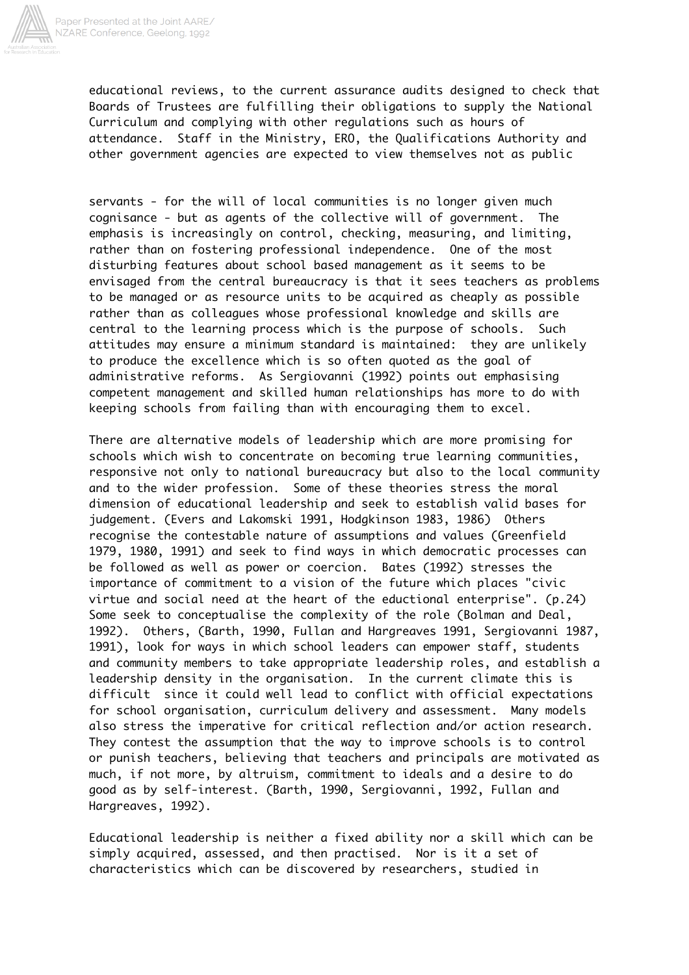

educational reviews, to the current assurance audits designed to check that Boards of Trustees are fulfilling their obligations to supply the National Curriculum and complying with other regulations such as hours of attendance. Staff in the Ministry, ERO, the Qualifications Authority and other government agencies are expected to view themselves not as public

servants - for the will of local communities is no longer given much cognisance - but as agents of the collective will of government. The emphasis is increasingly on control, checking, measuring, and limiting, rather than on fostering professional independence. One of the most disturbing features about school based management as it seems to be envisaged from the central bureaucracy is that it sees teachers as problems to be managed or as resource units to be acquired as cheaply as possible rather than as colleagues whose professional knowledge and skills are central to the learning process which is the purpose of schools. Such attitudes may ensure a minimum standard is maintained: they are unlikely to produce the excellence which is so often quoted as the goal of administrative reforms. As Sergiovanni (1992) points out emphasising competent management and skilled human relationships has more to do with keeping schools from failing than with encouraging them to excel.

There are alternative models of leadership which are more promising for schools which wish to concentrate on becoming true learning communities, responsive not only to national bureaucracy but also to the local community and to the wider profession. Some of these theories stress the moral dimension of educational leadership and seek to establish valid bases for judgement. (Evers and Lakomski 1991, Hodgkinson 1983, 1986) Others recognise the contestable nature of assumptions and values (Greenfield 1979, 1980, 1991) and seek to find ways in which democratic processes can be followed as well as power or coercion. Bates (1992) stresses the importance of commitment to a vision of the future which places "civic virtue and social need at the heart of the eductional enterprise". (p.24) Some seek to conceptualise the complexity of the role (Bolman and Deal, 1992). Others, (Barth, 1990, Fullan and Hargreaves 1991, Sergiovanni 1987, 1991), look for ways in which school leaders can empower staff, students and community members to take appropriate leadership roles, and establish a leadership density in the organisation. In the current climate this is difficult since it could well lead to conflict with official expectations for school organisation, curriculum delivery and assessment. Many models also stress the imperative for critical reflection and/or action research. They contest the assumption that the way to improve schools is to control or punish teachers, believing that teachers and principals are motivated as much, if not more, by altruism, commitment to ideals and a desire to do good as by self-interest. (Barth, 1990, Sergiovanni, 1992, Fullan and Hargreaves, 1992).

Educational leadership is neither a fixed ability nor a skill which can be simply acquired, assessed, and then practised. Nor is it a set of characteristics which can be discovered by researchers, studied in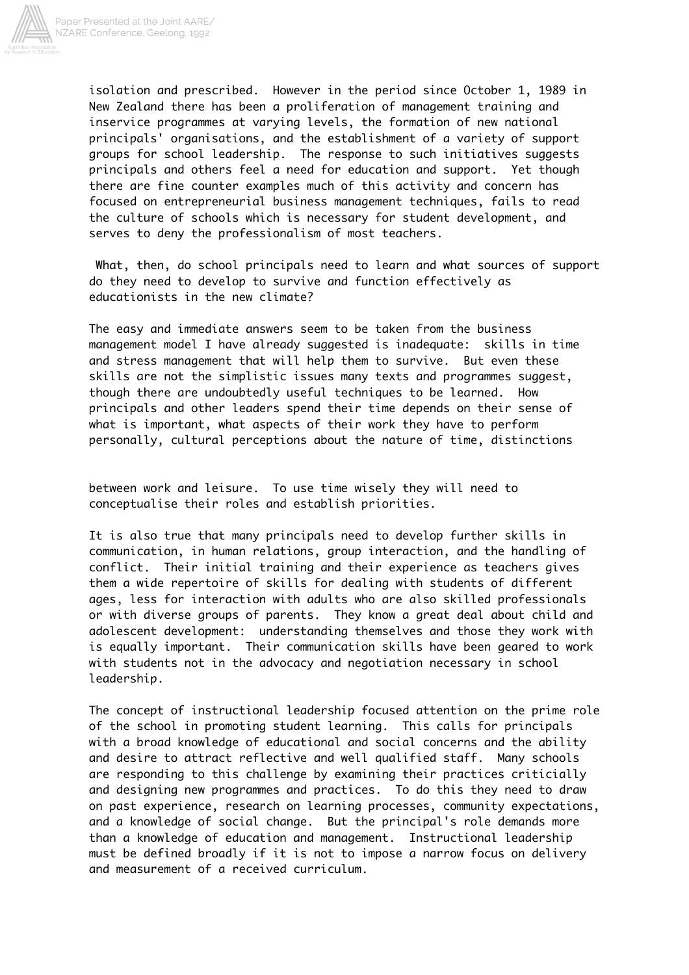

isolation and prescribed. However in the period since October 1, 1989 in New Zealand there has been a proliferation of management training and inservice programmes at varying levels, the formation of new national principals' organisations, and the establishment of a variety of support groups for school leadership. The response to such initiatives suggests principals and others feel a need for education and support. Yet though there are fine counter examples much of this activity and concern has focused on entrepreneurial business management techniques, fails to read the culture of schools which is necessary for student development, and serves to deny the professionalism of most teachers.

 What, then, do school principals need to learn and what sources of support do they need to develop to survive and function effectively as educationists in the new climate?

The easy and immediate answers seem to be taken from the business management model I have already suggested is inadequate: skills in time and stress management that will help them to survive. But even these skills are not the simplistic issues many texts and programmes suggest, though there are undoubtedly useful techniques to be learned. How principals and other leaders spend their time depends on their sense of what is important, what aspects of their work they have to perform personally, cultural perceptions about the nature of time, distinctions

between work and leisure. To use time wisely they will need to conceptualise their roles and establish priorities.

It is also true that many principals need to develop further skills in communication, in human relations, group interaction, and the handling of conflict. Their initial training and their experience as teachers gives them a wide repertoire of skills for dealing with students of different ages, less for interaction with adults who are also skilled professionals or with diverse groups of parents. They know a great deal about child and adolescent development: understanding themselves and those they work with is equally important. Their communication skills have been geared to work with students not in the advocacy and negotiation necessary in school leadership.

The concept of instructional leadership focused attention on the prime role of the school in promoting student learning. This calls for principals with a broad knowledge of educational and social concerns and the ability and desire to attract reflective and well qualified staff. Many schools are responding to this challenge by examining their practices criticially and designing new programmes and practices. To do this they need to draw on past experience, research on learning processes, community expectations, and a knowledge of social change. But the principal's role demands more than a knowledge of education and management. Instructional leadership must be defined broadly if it is not to impose a narrow focus on delivery and measurement of a received curriculum.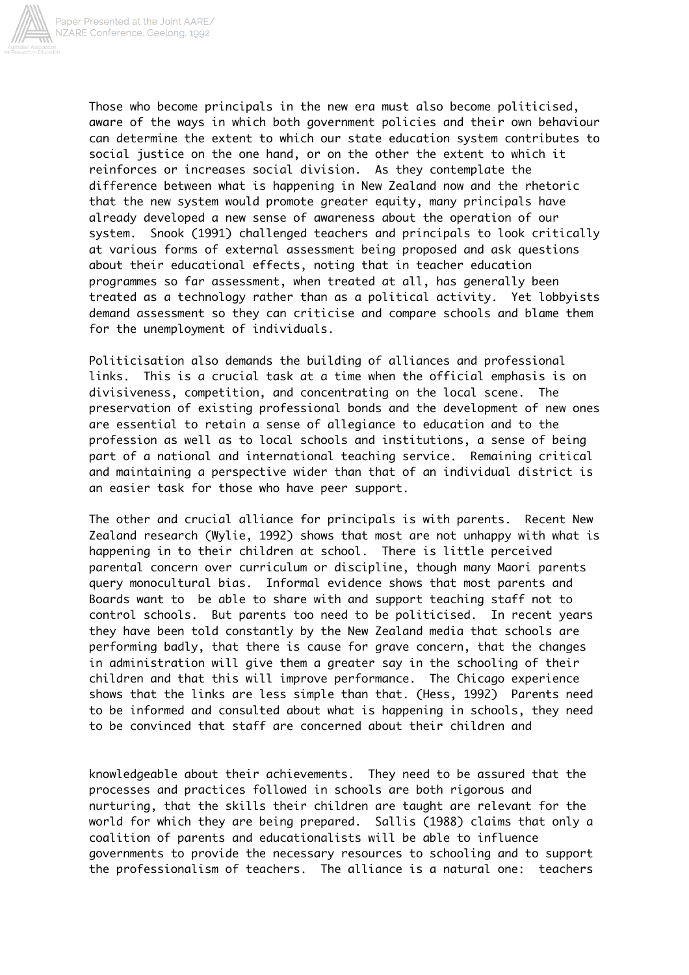

Those who become principals in the new era must also become politicised, aware of the ways in which both government policies and their own behaviour can determine the extent to which our state education system contributes to social justice on the one hand, or on the other the extent to which it reinforces or increases social division. As they contemplate the difference between what is happening in New Zealand now and the rhetoric that the new system would promote greater equity, many principals have already developed a new sense of awareness about the operation of our system. Snook (1991) challenged teachers and principals to look critically at various forms of external assessment being proposed and ask questions about their educational effects, noting that in teacher education programmes so far assessment, when treated at all, has generally been treated as a technology rather than as a political activity. Yet lobbyists demand assessment so they can criticise and compare schools and blame them for the unemployment of individuals.

Politicisation also demands the building of alliances and professional links. This is a crucial task at a time when the official emphasis is on divisiveness, competition, and concentrating on the local scene. The preservation of existing professional bonds and the development of new ones are essential to retain a sense of allegiance to education and to the profession as well as to local schools and institutions, a sense of being part of a national and international teaching service. Remaining critical and maintaining a perspective wider than that of an individual district is an easier task for those who have peer support.

The other and crucial alliance for principals is with parents. Recent New Zealand research (Wylie, 1992) shows that most are not unhappy with what is happening in to their children at school. There is little perceived parental concern over curriculum or discipline, though many Maori parents query monocultural bias. Informal evidence shows that most parents and Boards want to be able to share with and support teaching staff not to control schools. But parents too need to be politicised. In recent years they have been told constantly by the New Zealand media that schools are performing badly, that there is cause for grave concern, that the changes in administration will give them a greater say in the schooling of their children and that this will improve performance. The Chicago experience shows that the links are less simple than that. (Hess, 1992) Parents need to be informed and consulted about what is happening in schools, they need to be convinced that staff are concerned about their children and

knowledgeable about their achievements. They need to be assured that the processes and practices followed in schools are both rigorous and nurturing, that the skills their children are taught are relevant for the world for which they are being prepared. Sallis (1988) claims that only a coalition of parents and educationalists will be able to influence governments to provide the necessary resources to schooling and to support the professionalism of teachers. The alliance is a natural one: teachers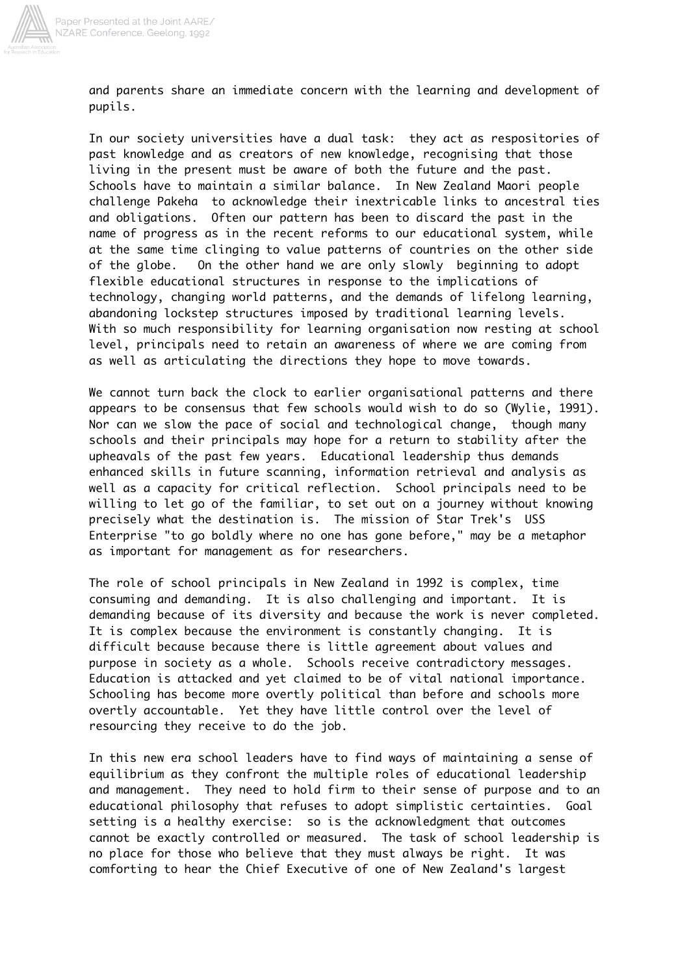

and parents share an immediate concern with the learning and development of pupils.

In our society universities have a dual task: they act as respositories of past knowledge and as creators of new knowledge, recognising that those living in the present must be aware of both the future and the past. Schools have to maintain a similar balance. In New Zealand Maori people challenge Pakeha to acknowledge their inextricable links to ancestral ties and obligations. Often our pattern has been to discard the past in the name of progress as in the recent reforms to our educational system, while at the same time clinging to value patterns of countries on the other side of the globe. On the other hand we are only slowly beginning to adopt flexible educational structures in response to the implications of technology, changing world patterns, and the demands of lifelong learning, abandoning lockstep structures imposed by traditional learning levels. With so much responsibility for learning organisation now resting at school level, principals need to retain an awareness of where we are coming from as well as articulating the directions they hope to move towards.

We cannot turn back the clock to earlier organisational patterns and there appears to be consensus that few schools would wish to do so (Wylie, 1991). Nor can we slow the pace of social and technological change, though many schools and their principals may hope for a return to stability after the upheavals of the past few years. Educational leadership thus demands enhanced skills in future scanning, information retrieval and analysis as well as a capacity for critical reflection. School principals need to be willing to let go of the familiar, to set out on a journey without knowing precisely what the destination is. The mission of Star Trek's USS Enterprise "to go boldly where no one has gone before," may be a metaphor as important for management as for researchers.

The role of school principals in New Zealand in 1992 is complex, time consuming and demanding. It is also challenging and important. It is demanding because of its diversity and because the work is never completed. It is complex because the environment is constantly changing. It is difficult because because there is little agreement about values and purpose in society as a whole. Schools receive contradictory messages. Education is attacked and yet claimed to be of vital national importance. Schooling has become more overtly political than before and schools more overtly accountable. Yet they have little control over the level of resourcing they receive to do the job.

In this new era school leaders have to find ways of maintaining a sense of equilibrium as they confront the multiple roles of educational leadership and management. They need to hold firm to their sense of purpose and to an educational philosophy that refuses to adopt simplistic certainties. Goal setting is a healthy exercise: so is the acknowledgment that outcomes cannot be exactly controlled or measured. The task of school leadership is no place for those who believe that they must always be right. It was comforting to hear the Chief Executive of one of New Zealand's largest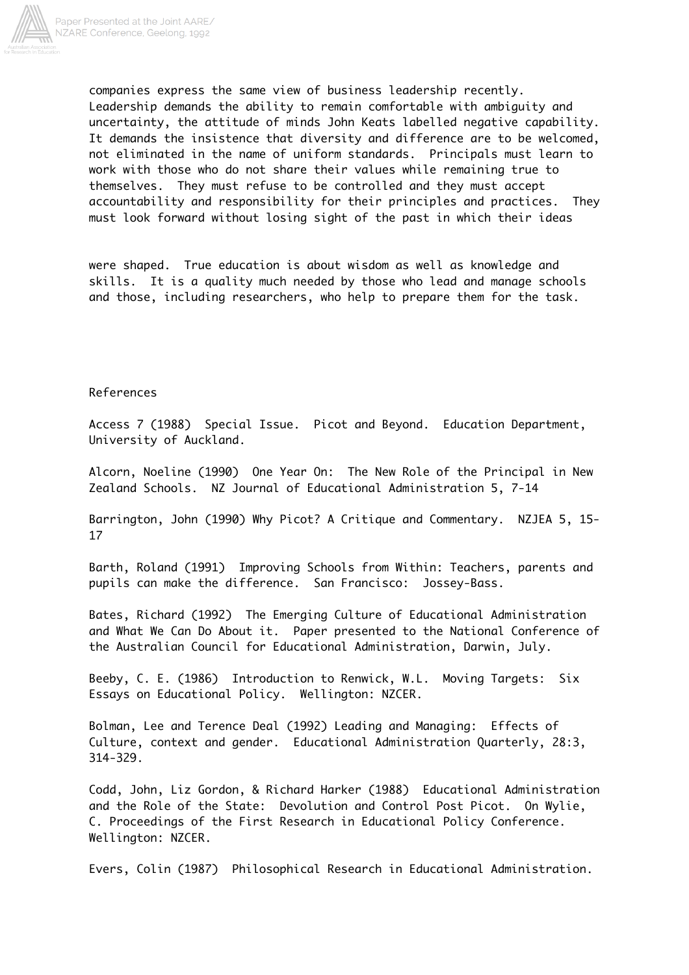

companies express the same view of business leadership recently. Leadership demands the ability to remain comfortable with ambiguity and uncertainty, the attitude of minds John Keats labelled negative capability. It demands the insistence that diversity and difference are to be welcomed, not eliminated in the name of uniform standards. Principals must learn to work with those who do not share their values while remaining true to themselves. They must refuse to be controlled and they must accept accountability and responsibility for their principles and practices. They must look forward without losing sight of the past in which their ideas

were shaped. True education is about wisdom as well as knowledge and skills. It is a quality much needed by those who lead and manage schools and those, including researchers, who help to prepare them for the task.

## References

Access 7 (1988) Special Issue. Picot and Beyond. Education Department, University of Auckland.

Alcorn, Noeline (1990) One Year On: The New Role of the Principal in New Zealand Schools. NZ Journal of Educational Administration 5, 7-14

Barrington, John (1990) Why Picot? A Critique and Commentary. NZJEA 5, 15- 17

Barth, Roland (1991) Improving Schools from Within: Teachers, parents and pupils can make the difference. San Francisco: Jossey-Bass.

Bates, Richard (1992) The Emerging Culture of Educational Administration and What We Can Do About it. Paper presented to the National Conference of the Australian Council for Educational Administration, Darwin, July.

Beeby, C. E. (1986) Introduction to Renwick, W.L. Moving Targets: Six Essays on Educational Policy. Wellington: NZCER.

Bolman, Lee and Terence Deal (1992) Leading and Managing: Effects of Culture, context and gender. Educational Administration Quarterly, 28:3, 314-329.

Codd, John, Liz Gordon, & Richard Harker (1988) Educational Administration and the Role of the State: Devolution and Control Post Picot. On Wylie, C. Proceedings of the First Research in Educational Policy Conference. Wellington: NZCER.

Evers, Colin (1987) Philosophical Research in Educational Administration.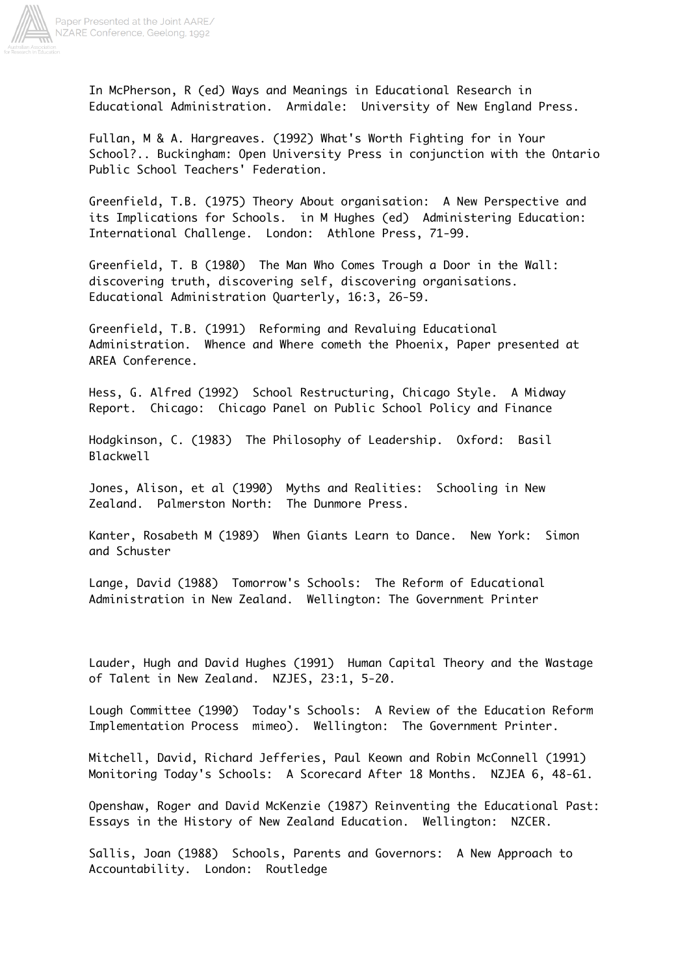

In McPherson, R (ed) Ways and Meanings in Educational Research in Educational Administration. Armidale: University of New England Press.

Fullan, M & A. Hargreaves. (1992) What's Worth Fighting for in Your School?.. Buckingham: Open University Press in conjunction with the Ontario Public School Teachers' Federation.

Greenfield, T.B. (1975) Theory About organisation: A New Perspective and its Implications for Schools. in M Hughes (ed) Administering Education: International Challenge. London: Athlone Press, 71-99.

Greenfield, T. B (1980) The Man Who Comes Trough a Door in the Wall: discovering truth, discovering self, discovering organisations. Educational Administration Quarterly, 16:3, 26-59.

Greenfield, T.B. (1991) Reforming and Revaluing Educational Administration. Whence and Where cometh the Phoenix, Paper presented at AREA Conference.

Hess, G. Alfred (1992) School Restructuring, Chicago Style. A Midway Report. Chicago: Chicago Panel on Public School Policy and Finance

Hodgkinson, C. (1983) The Philosophy of Leadership. Oxford: Basil Blackwell

Jones, Alison, et al (1990) Myths and Realities: Schooling in New Zealand. Palmerston North: The Dunmore Press.

Kanter, Rosabeth M (1989) When Giants Learn to Dance. New York: Simon and Schuster

Lange, David (1988) Tomorrow's Schools: The Reform of Educational Administration in New Zealand. Wellington: The Government Printer

Lauder, Hugh and David Hughes (1991) Human Capital Theory and the Wastage of Talent in New Zealand. NZJES, 23:1, 5-20.

Lough Committee (1990) Today's Schools: A Review of the Education Reform Implementation Process mimeo). Wellington: The Government Printer.

Mitchell, David, Richard Jefferies, Paul Keown and Robin McConnell (1991) Monitoring Today's Schools: A Scorecard After 18 Months. NZJEA 6, 48-61.

Openshaw, Roger and David McKenzie (1987) Reinventing the Educational Past: Essays in the History of New Zealand Education. Wellington: NZCER.

Sallis, Joan (1988) Schools, Parents and Governors: A New Approach to Accountability. London: Routledge